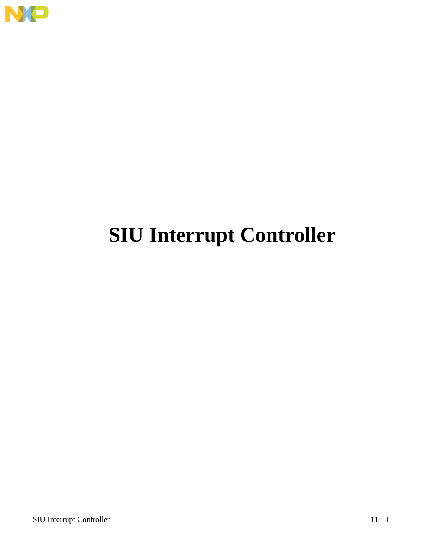

# **SIU Interrupt Controller**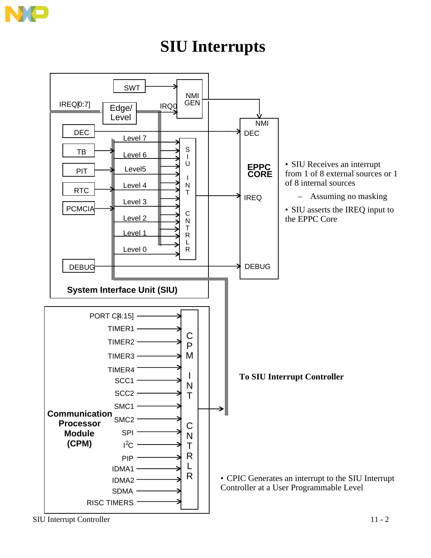

### **SIU Interrupts**



SIU Interrupt Controller 11 - 2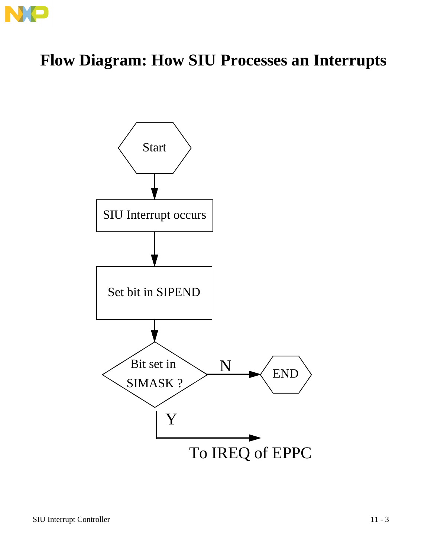

## **Flow Diagram: How SIU Processes an Interrupts**

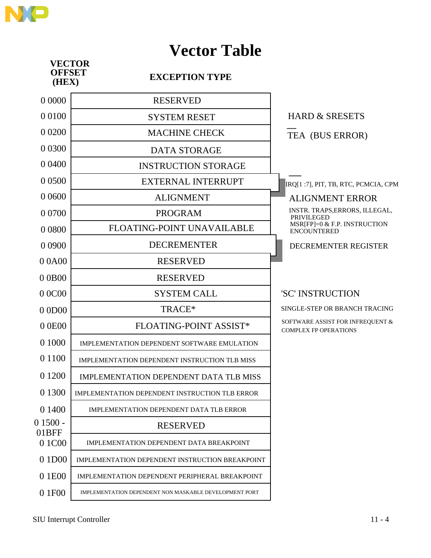

### **Vector Table**

| <b>VECTOR</b><br><b>OFFSET</b><br>(HEX) | <b>EXCEPTION TYPE</b>                                  |                                                                  |
|-----------------------------------------|--------------------------------------------------------|------------------------------------------------------------------|
| 0 0000                                  | <b>RESERVED</b>                                        |                                                                  |
| 0 0 1 0 0                               | <b>SYSTEM RESET</b>                                    | <b>HARD &amp; SRESETS</b>                                        |
| 0 0 200                                 | <b>MACHINE CHECK</b>                                   | TEA (BUS ERROR)                                                  |
| 0 0 3 0 0                               | <b>DATA STORAGE</b>                                    |                                                                  |
| 0 0 4 0 0                               | <b>INSTRUCTION STORAGE</b>                             |                                                                  |
| 0 0 5 0 0                               | <b>EXTERNAL INTERRUPT</b>                              | IRQ[1:7], PIT, TB, RTC, PCMCIA, CPM                              |
| 0 0 6 0 0                               | <b>ALIGNMENT</b>                                       | <b>ALIGNMENT ERROR</b>                                           |
| 0 0 7 0 0                               | <b>PROGRAM</b>                                         | INSTR. TRAPS, ERRORS, ILLEGAL,<br><b>PRIVILEGED</b>              |
| 0 0 8 0 0                               | FLOATING-POINT UNAVAILABLE                             | MSR[FP]=0 & F.P. INSTRUCTION<br><b>ENCOUNTERED</b>               |
| 0 0 9 0 0                               | <b>DECREMENTER</b>                                     | DECREMENTER REGISTER                                             |
| 00A00                                   | <b>RESERVED</b>                                        |                                                                  |
| 00B00                                   | <b>RESERVED</b>                                        |                                                                  |
| 0 0 C 0 0                               | <b>SYSTEM CALL</b>                                     | 'SC' INSTRUCTION                                                 |
| 00D00                                   | TRACE*                                                 | SINGLE-STEP OR BRANCH TRACING                                    |
| 00E00                                   | FLOATING-POINT ASSIST*                                 | SOFTWARE ASSIST FOR INFREQUENT &<br><b>COMPLEX FP OPERATIONS</b> |
| 0 1000                                  | IMPLEMENTATION DEPENDENT SOFTWARE EMULATION            |                                                                  |
| 0 1 1 0 0                               | IMPLEMENTATION DEPENDENT INSTRUCTION TLB MISS          |                                                                  |
| 0 1 20 0                                | <b>IMPLEMENTATION DEPENDENT DATA TLB MISS</b>          |                                                                  |
| 0 1 3 0 0                               | IMPLEMENTATION DEPENDENT INSTRUCTION TLB ERROR         |                                                                  |
| 0 1400                                  | IMPLEMENTATION DEPENDENT DATA TLB ERROR                |                                                                  |
| $01500 -$                               | <b>RESERVED</b>                                        |                                                                  |
| 01BFF<br>0 1 C00                        | IMPLEMENTATION DEPENDENT DATA BREAKPOINT               |                                                                  |
| 0 1 D <sub>0</sub>                      | <b>IMPLEMENTATION DEPENDENT INSTRUCTION BREAKPOINT</b> |                                                                  |
| 0 1E00                                  | IMPLEMENTATION DEPENDENT PERIPHERAL BREAKPOINT         |                                                                  |
| 0 1F00                                  | IMPLEMENTATION DEPENDENT NON MASKABLE DEVELOPMENT PORT |                                                                  |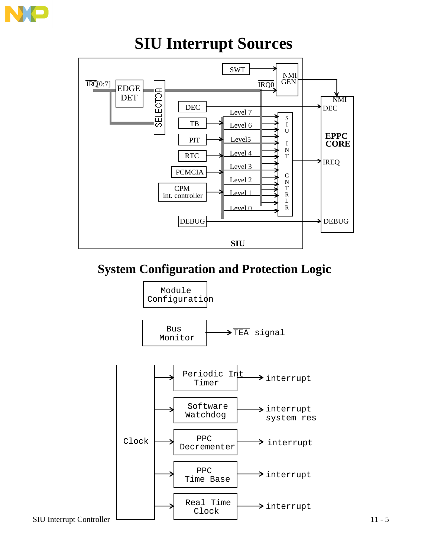

### **SIU Interrupt Sources**



### **System Configuration and Protection Logic**

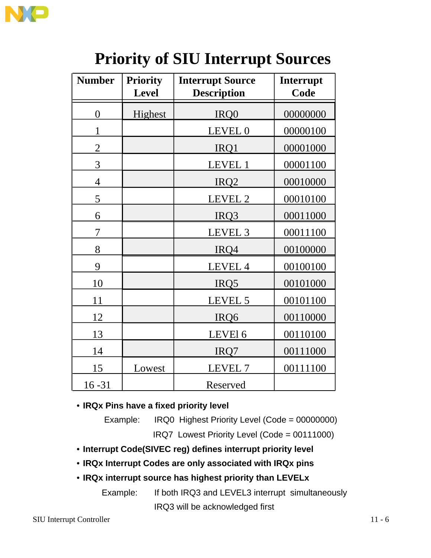

| <b>Number</b>  | <b>Priority</b><br><b>Level</b> | <b>Interrupt Source</b><br><b>Description</b> | Interrupt<br>Code |  |  |
|----------------|---------------------------------|-----------------------------------------------|-------------------|--|--|
|                |                                 |                                               |                   |  |  |
| $\overline{0}$ | Highest                         | IRQ0                                          | 00000000          |  |  |
| 1              |                                 | LEVEL 0                                       | 00000100          |  |  |
| $\overline{2}$ |                                 | IRQ1                                          | 00001000          |  |  |
| 3              |                                 | LEVEL 1                                       | 00001100          |  |  |
| $\overline{4}$ |                                 | IRQ <sub>2</sub>                              | 00010000          |  |  |
| 5              |                                 | LEVEL 2                                       | 00010100          |  |  |
| 6              |                                 | IRQ3                                          | 00011000          |  |  |
| 7              |                                 | LEVEL <sub>3</sub>                            | 00011100          |  |  |
| 8              |                                 | IRQ4                                          | 00100000          |  |  |
| 9              |                                 | LEVEL 4                                       | 00100100          |  |  |
| 10             |                                 | IRQ5                                          | 00101000          |  |  |
| 11             |                                 | LEVEL 5                                       | 00101100          |  |  |
| 12             |                                 | IRQ6                                          | 00110000          |  |  |
| 13             |                                 | LEVEl 6                                       | 00110100          |  |  |
| 14             |                                 | IRQ7                                          | 00111000          |  |  |
| 15             | Lowest                          | LEVEL 7                                       | 00111100          |  |  |
| $16 - 31$      |                                 | Reserved                                      |                   |  |  |

## **Priority of SIU Interrupt Sources**

• **IRQx Pins have a fixed priority level**

Example: IRQ0 Highest Priority Level (Code = 00000000)

IRQ7 Lowest Priority Level (Code = 00111000)

- **Interrupt Code(SIVEC reg) defines interrupt priority level**
- **IRQx Interrupt Codes are only associated with IRQx pins**
- **IRQx interrupt source has highest priority than LEVELx**

Example: If both IRQ3 and LEVEL3 interrupt simultaneously IRQ3 will be acknowledged first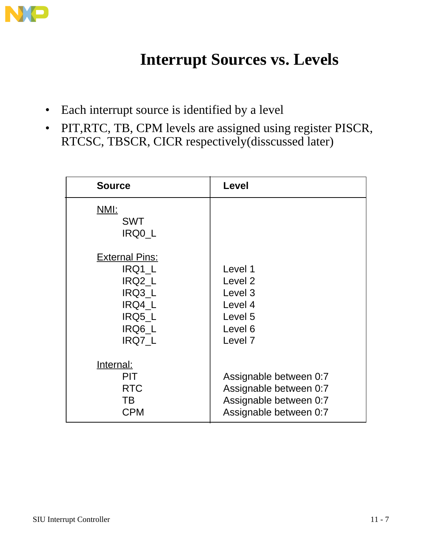

## **Interrupt Sources vs. Levels**

- Each interrupt source is identified by a level
- PIT,RTC, TB, CPM levels are assigned using register PISCR, RTCSC, TBSCR, CICR respectively(disscussed later)

| <b>Source</b>                                         | Level                  |
|-------------------------------------------------------|------------------------|
| NMI:<br><b>SWT</b><br>IRQ0 L<br><b>External Pins:</b> |                        |
| IRQ1_L                                                | Level 1                |
| IRQ2 L                                                | Level <sub>2</sub>     |
| IRQ3 L                                                | Level <sub>3</sub>     |
| IRQ4 L                                                | Level 4                |
| IRQ5 L                                                | Level 5                |
| IRQ6_L                                                | Level 6                |
| IRQ7_L                                                | Level <sub>7</sub>     |
| Internal:                                             |                        |
| <b>PIT</b>                                            | Assignable between 0:7 |
| <b>RTC</b>                                            | Assignable between 0:7 |
| TB                                                    | Assignable between 0:7 |
| <b>CPM</b>                                            | Assignable between 0:7 |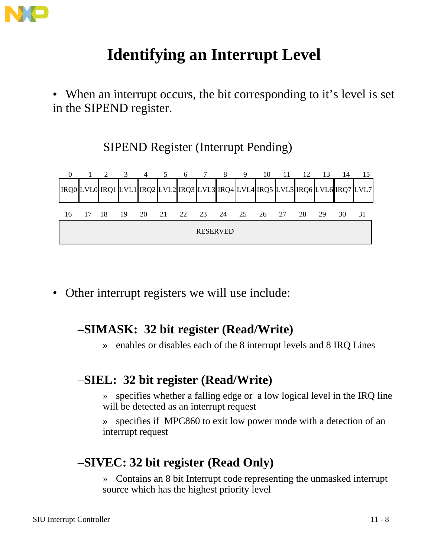

## **Identifying an Interrupt Level**

• When an interrupt occurs, the bit corresponding to it's level is set in the SIPEND register.

SIPEND Register (Interrupt Pending)



• Other interrupt registers we will use include:

### –**SIMASK: 32 bit register (Read/Write)**

» enables or disables each of the 8 interrupt levels and 8 IRQ Lines

### –**SIEL: 32 bit register (Read/Write)**

- » specifies whether a falling edge or a low logical level in the IRQ line will be detected as an interrupt request
- » specifies if MPC860 to exit low power mode with a detection of an interrupt request

### –**SIVEC: 32 bit register (Read Only)**

» Contains an 8 bit Interrupt code representing the unmasked interrupt source which has the highest priority level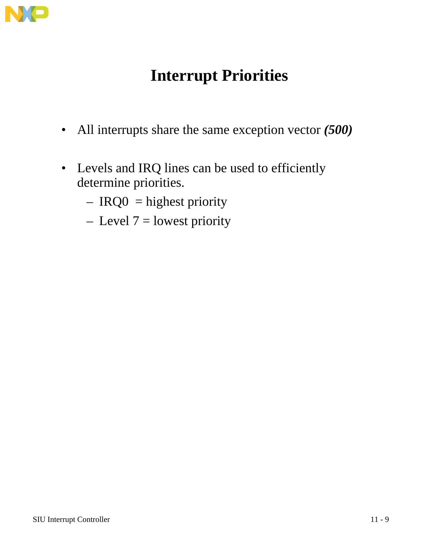

## **Interrupt Priorities**

- All interrupts share the same exception vector *(500)*
- Levels and IRQ lines can be used to efficiently determine priorities.
	- $-$  IRQ0 = highest priority
	- $-$  Level  $7 =$  lowest priority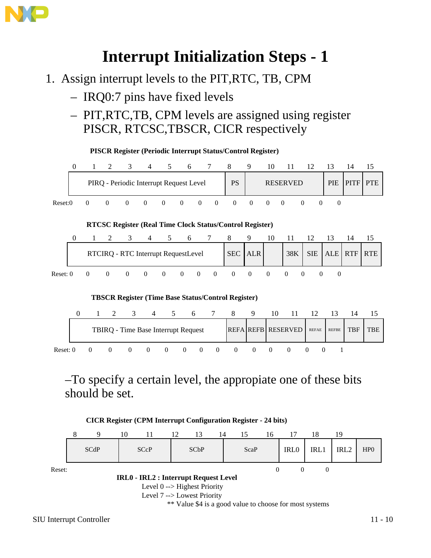

### **Interrupt Initialization Steps - 1**

- 1. Assign interrupt levels to the PIT,RTC, TB, CPM
	- IRQ0:7 pins have fixed levels
	- PIT,RTC,TB, CPM levels are assigned using register PISCR, RTCSC,TBSCR, CICR respectively



–To specify a certain level, the appropiate one of these bits should be set.



\*\* Value \$4 is a good value to choose for most systems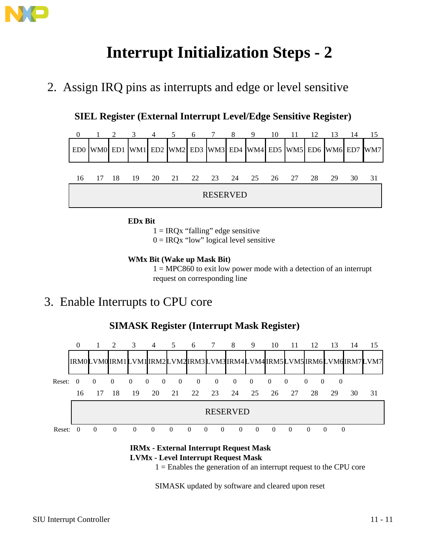

## **Interrupt Initialization Steps - 2**

2. Assign IRQ pins as interrupts and edge or level sensitive

**SIEL Register (External Interrupt Level/Edge Sensitive Register)**



**EDx Bit**

 $1 = IRQx$  "falling" edge sensitive

 $0 = IRQx$  "low" logical level sensitive

#### **WMx Bit (Wake up Mask Bit)**

 $1 = MPC860$  to exit low power mode with a detection of an interrupt request on corresponding line

### 3. Enable Interrupts to CPU core



#### **SIMASK Register (Interrupt Mask Register)**

**IRMx - External Interrupt Request Mask LVMx - Level Interrupt Request Mask**

 $1 =$  Enables the generation of an interrupt request to the CPU core

SIMASK updated by software and cleared upon reset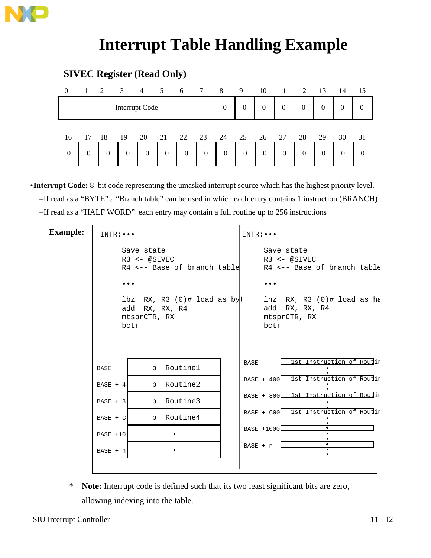

### **Interrupt Table Handling Example**

#### **SIVEC Register (Read Only)**

| $\overline{0}$ | 1 2            |    | $\overline{3}$ |    | $4 \quad 5$    | 6                | $7\overline{ }$ | 8                | 9                | 10       | 11               | 12               | 13           | 14 | 15               |
|----------------|----------------|----|----------------|----|----------------|------------------|-----------------|------------------|------------------|----------|------------------|------------------|--------------|----|------------------|
|                |                |    | Interrupt Code |    |                |                  |                 | $\overline{0}$   | $\theta$         | $\theta$ | $\boldsymbol{0}$ | $\boldsymbol{0}$ | $\mathbf{0}$ | 0  | $\boldsymbol{0}$ |
| 16             | 17             | 18 | 19             | 20 | 21             | 22               | 23              | 24               | 25               | 26       | 27               | 28               | 29           | 30 | 31               |
| $\theta$       | $\overline{0}$ | 0  | $\theta$       | 0  | $\overline{0}$ | $\boldsymbol{0}$ | $\theta$        | $\boldsymbol{0}$ | $\boldsymbol{0}$ | $\theta$ | $\boldsymbol{0}$ | $\overline{0}$   | $\theta$     | 0  | 0                |

•**Interrupt Code:** 8 bit code representing the umasked interrupt source which has the highest priority level. –If read as a "BYTE" a "Branch table" can be used in which each entry contains 1 instruction (BRANCH) –If read as a "HALF WORD" each entry may contain a full routine up to 256 instructions

#### **Example:** INTR:...

| $INTR: \bullet \bullet \bullet$ |                                                                                | $INTR: \bullet \bullet \bullet$ |                                                                               |
|---------------------------------|--------------------------------------------------------------------------------|---------------------------------|-------------------------------------------------------------------------------|
|                                 | Save state<br>$R3 \leq -$ @SIVEC<br>R4 <-- Base of branch table                |                                 | Save state<br>R3 <- @SIVEC<br>$R4$ <-- Base of branch table                   |
|                                 |                                                                                |                                 |                                                                               |
|                                 | $1$ bz RX, R3 $(0)$ # $1$ oad as byt<br>add RX, RX, R4<br>mtsprCTR, RX<br>bctr |                                 | $l$ hz RX, R3 $(0)$ # load as h $l$<br>add RX, RX, R4<br>mtsprCTR, RX<br>bctr |
| <b>BASE</b>                     | Routine1<br>b                                                                  | BASE                            | 1st Instruction of Routir                                                     |
| BASE $+4$                       | b Routine2                                                                     |                                 | BASE + 400 1st Instruction of Routir                                          |
| $BASE + 8$                      | b Routine3                                                                     |                                 | BASE + 800 1st Instruction of Routir                                          |
| $BASE + C$                      | b Routine4                                                                     |                                 | BASE + C00 1st Instruction of Routir                                          |
| $BASE + 10$                     |                                                                                |                                 | BASE +1000                                                                    |
| $BASE + n$                      |                                                                                |                                 | $\bullet$<br>$BASE + n$                                                       |
|                                 |                                                                                |                                 |                                                                               |

\* **Note:** Interrupt code is defined such that its two least significant bits are zero, allowing indexing into the table.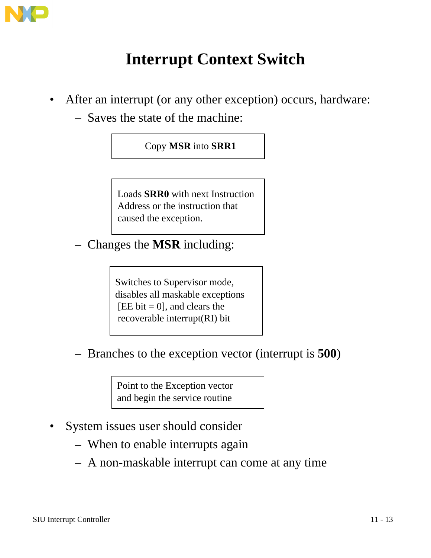

## **Interrupt Context Switch**

- After an interrupt (or any other exception) occurs, hardware:
	- Saves the state of the machine:

### Copy **MSR** into **SRR1**

Loads **SRR0** with next Instruction Address or the instruction that caused the exception.

– Changes the **MSR** including:

Switches to Supervisor mode, disables all maskable exceptions [EE bit = 0], and clears the recoverable interrupt(RI) bit

– Branches to the exception vector (interrupt is **500**)

Point to the Exception vector and begin the service routine

- System issues user should consider
	- When to enable interrupts again
	- A non-maskable interrupt can come at any time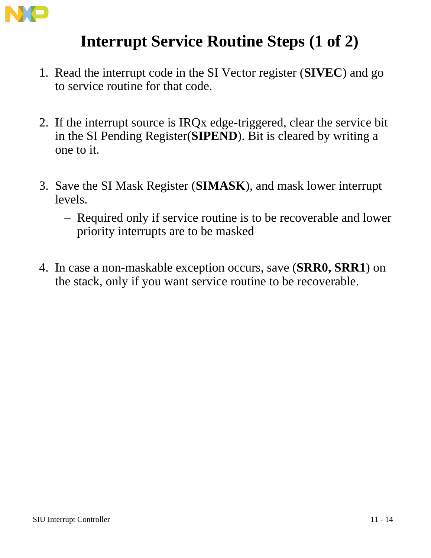

### **Interrupt Service Routine Steps (1 of 2)**

- 1. Read the interrupt code in the SI Vector register (**SIVEC**) and go to service routine for that code.
- 2. If the interrupt source is IRQx edge-triggered, clear the service bit in the SI Pending Register(**SIPEND**). Bit is cleared by writing a one to it.
- 3. Save the SI Mask Register (**SIMASK**), and mask lower interrupt levels.
	- Required only if service routine is to be recoverable and lower priority interrupts are to be masked
- 4. In case a non-maskable exception occurs, save (**SRR0, SRR1**) on the stack, only if you want service routine to be recoverable.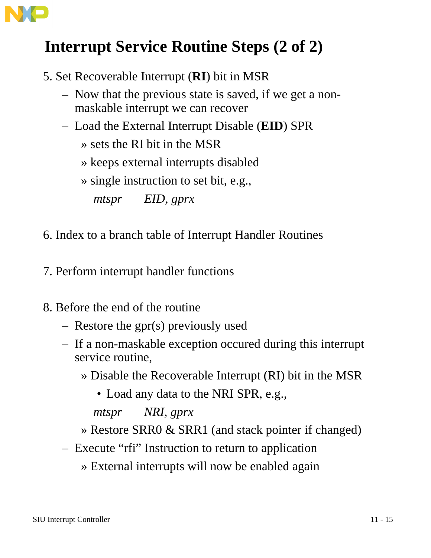

## **Interrupt Service Routine Steps (2 of 2)**

- 5. Set Recoverable Interrupt (**RI**) bit in MSR
	- Now that the previous state is saved, if we get a nonmaskable interrupt we can recover
	- Load the External Interrupt Disable (**EID**) SPR
		- » sets the RI bit in the MSR
		- » keeps external interrupts disabled

» single instruction to set bit, e.g.,

*mtspr EID, gprx*

- 6. Index to a branch table of Interrupt Handler Routines
- 7. Perform interrupt handler functions
- 8. Before the end of the routine
	- Restore the gpr(s) previously used
	- If a non-maskable exception occured during this interrupt service routine,
		- » Disable the Recoverable Interrupt (RI) bit in the MSR
			- Load any data to the NRI SPR, e.g.,

*mtspr NRI, gprx*

- » Restore SRR0 & SRR1 (and stack pointer if changed)
- Execute "rfi" Instruction to return to application
	- » External interrupts will now be enabled again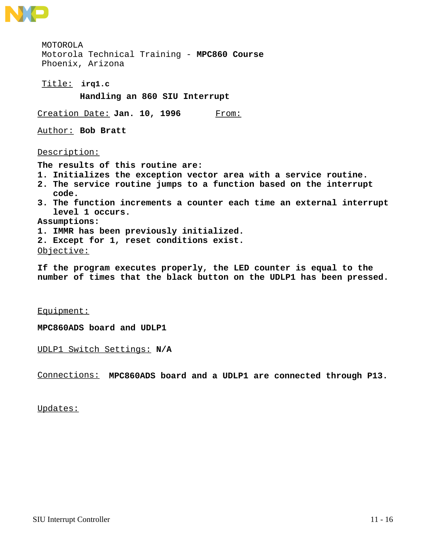

**irq1.c** Title: MOTOROLA Motorola Technical Training - **MPC860 Course** Phoenix, Arizona **Handling an 860 SIU Interrupt** Creation Date: Jan. 10, 1996 From: Author: **Bob Bratt** Description: **The results of this routine are: 1. Initializes the exception vector area with a service routine. 2. The service routine jumps to a function based on the interrupt code. 3. The function increments a counter each time an external interrupt level 1 occurs. Assumptions: 1. IMMR has been previously initialized. 2. Except for 1, reset conditions exist.** Objective:

**If the program executes properly, the LED counter is equal to the number of times that the black button on the UDLP1 has been pressed.**

Equipment:

**MPC860ADS board and UDLP1**

UDLP1 Switch Settings: **N/A**

Connections: **MPC860ADS board and a UDLP1 are connected through P13.**

Updates: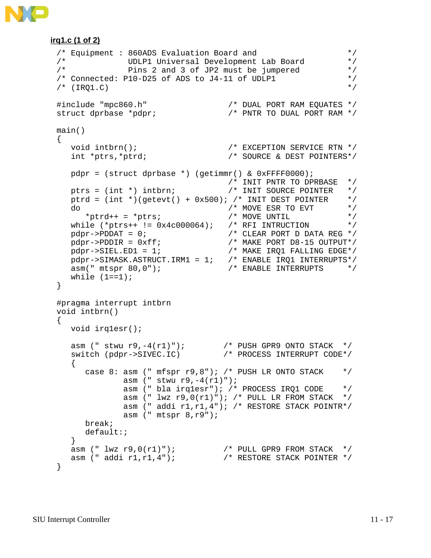#### **irq1.c (1 of 2)**

```
/* Equipment : 860ADS Evaluation Board and */
/* UDLP1 Universal Development Lab Board */
/* Pins 2 and 3 of JP2 must be jumpered */
/* Connected: P10-D25 of ADS to J4-11 of UDLP1 */\sqrt{*} (IRO1.C) \sqrt{*} (IRO1.C)
#include "mpc860.h" /* DUAL PORT RAM EQUATES */
struct dprbase *pdpr; \sqrt{X} PNTR TO DUAL PORT RAM */
main()
{
void intbrn(); \frac{1}{2} /* EXCEPTION SERVICE RTN */
 int *ptrs,*ptrd; /* SOURCE & DEST POINTERS*/
   pdpr = (struct dprbase *) (getimmr() & 0xFFFF0000);
 /* INIT PNTR TO DPRBASE */
 ptrs = (int *) intbrn; /* INIT SOURCE POINTER */
  ptrd = (int *)(getevt() + 0x500); /* INIT DEST POINTER */<br>do * MOVE ESR TO EVT */
do / \star MOVE ESR TO EVT \star /
*ptrd++ = *ptrs; /* MOVE UNTIL */
 while (*ptrs++ != 0x4c000064); /* RFI INTRUCTION */
pdpr \rightarrow PDDAT = 0; /* CLEAR PORT D DATA REG */
 pdpr->PDDIR = 0xff; /* MAKE PORT D8-15 OUTPUT*/
 pdpr->SIEL.ED1 = 1; /* MAKE IRQ1 FALLING EDGE*/
 pdpr->SIMASK.ASTRUCT.IRM1 = 1; /* ENABLE IRQ1 INTERRUPTS*/
 asm(" mtspr 80,0"); /* ENABLE INTERRUPTS */
while (1 == 1);
}
#pragma interrupt intbrn
void intbrn()
{
   void irq1esr();
 asm (" stwu r9,-4(r1)"); /* PUSH GPR9 ONTO STACK */
 switch (pdpr->SIVEC.IC) /* PROCESS INTERRUPT CODE*/
   {
    case 8: asm (" mfspr r9,8"); /* PUSH LR ONTO STACK */
           asm (" stwu r9, -4(r1)");
            asm (" bla irq1esr"); /* PROCESS IRQ1 CODE */
           asm (" lwx r9,0(r1)"); /* PULL LR FROM STACK */
            asm (" addi r1,r1,4"); /* RESTORE STACK POINTR*/
            asm (" mtspr 8,r9");
     break;
     default:;
   }
 asm (" lwz r9,0(r1)"); /* PULL GPR9 FROM STACK */
 asm (" addi r1,r1,4"); /* RESTORE STACK POINTER */
}
```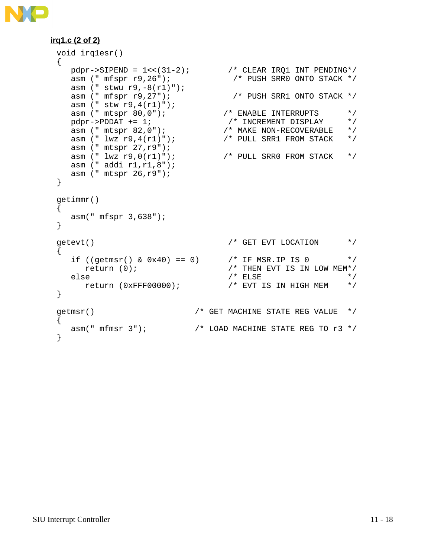

#### **irq1.c (2 of 2)**

```
void irq1esr()
{
  pdpr \rightarrowSIPEND = 1<<(31-2); /* CLEAR IRQ1 INT PENDING*/
 asm (" mfspr r9,26"); /* PUSH SRR0 ONTO STACK */
 asm (" stwu r9,-8(r1)");
 asm (" mfspr r9,27"); /* PUSH SRR1 ONTO STACK */
 asm (" stw r9,4(r1)");
asm (" mtspr 80,0"); \overline{\hspace{1.5mm}} /* ENABLE INTERRUPTS */
pdpr \rightarrow PDDAT += 1; \qquad \qquad /* INCREMENT DISPLAY \qquad \qquad \star /
 asm (" mtspr 82,0"); /* MAKE NON-RECOVERABLE */
 asm (" lwz r9,4(r1)"); /* PULL SRR1 FROM STACK */
  asm (" mtspr 27, r9");<br>asm (" lwz r9, 0(r1)");
                               \frac{1}{2} PULL SRR0 FROM STACK */
   asm (" addi r1,r1,8");
   asm (" mtspr 26,r9");
}
getimmr()
{
   asm(" mfspr 3,638");
}
getevt() \hspace{1.6cm} /* GET EVT LOCATION \hspace{1.6cm} */
{
  if ((getmsr() & 0x40) == 0) 4x + 1 /* IF MSR.IP IS 0 4x + 1return (0); / THEN EVT IS IN LOW MEM*/
  else /* ELSE * /
      return (0xFFF00000); /* EVT IS IN HIGH MEM */
}
getmsr() /* GET MACHINE STATE REG VALUE */
{
 asm(" mfmsr 3"); / LOAD MACHINE STATE REG TO r3 */}
```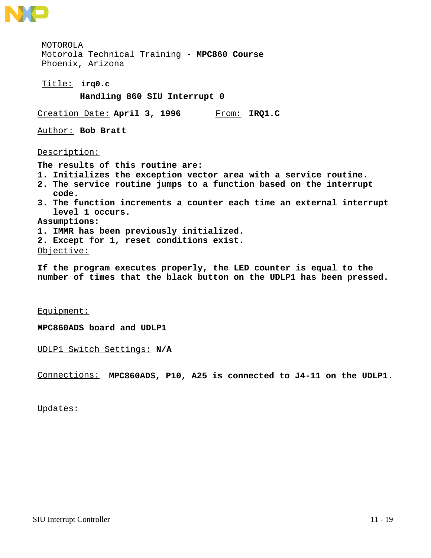

**irq0.c** Title: MOTOROLA Motorola Technical Training - **MPC860 Course** Phoenix, Arizona **Handling 860 SIU Interrupt 0** Creation Date: **April 3, 1996** From: **IRQ1.C**Author: **Bob Bratt** Description: **The results of this routine are: 1. Initializes the exception vector area with a service routine. 2. The service routine jumps to a function based on the interrupt code. 3. The function increments a counter each time an external interrupt level 1 occurs. Assumptions: 1. IMMR has been previously initialized. 2. Except for 1, reset conditions exist.** Objective:

**If the program executes properly, the LED counter is equal to the number of times that the black button on the UDLP1 has been pressed.**

Equipment:

**MPC860ADS board and UDLP1**

UDLP1 Switch Settings: **N/A**

Connections: **MPC860ADS, P10, A25 is connected to J4-11 on the UDLP1.**

Updates: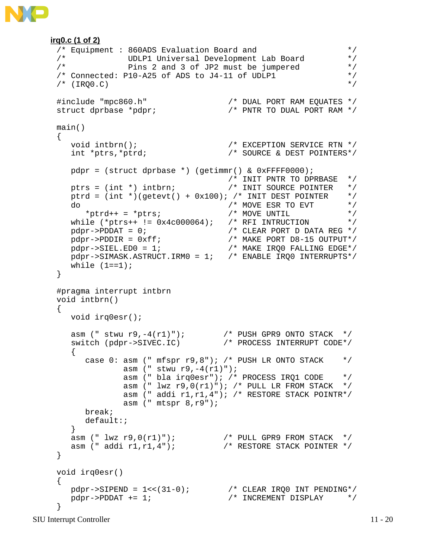```
irq0.c (1 of 2)
 /* Equipment : 860ADS Evaluation Board and */<br>/* UDLP1 Universal Development Lab Board */
 /* UDLP1 Universal Development Lab Board */
 /* Pins 2 and 3 of JP2 must be jumpered */
 /* Connected: P10-A25 of ADS to J4-11 of UDLP1 */\frac{1}{2} (IRQ0.C) \frac{1}{2} (IRQ0.C)
 #include "mpc860.h" /* DUAL PORT RAM EQUATES */
 struct dprbase *pdpr; /* PNTR TO DUAL PORT RAM */
 main()
 {
 void intbrn(); \overline{a} /* EXCEPTION SERVICE RTN */
  int *ptrs,*ptrd; /* SOURCE & DEST POINTERS*/
    pdpr = (struct dprbase *) (getimmr() & 0xFFFF0000);
                                  /* INIT PNTR TO DPRBASE */<br>/* INIT SOURCE POINTER */ptrs = (int *) intbrn;<br>
ptrs = (int *) intbrn;<br>
ptrd = (int *)(qetevt() + 0x100); /* INIT DEST POINTER */
    ptrd = (int *)(getevt() + 0x100); /* INIT DEST POINTER */
 do / \star MOVE ESR TO EVT \star /
 *ptrd++ = *ptrs; /* MOVE UNTIL */
  while (*ptrs++ != 0x4c000064); /* RFI INTRUCTION */
 pdpr\rightarrow PDDAT = 0; /* CLEAR PORT D DATA REG */
  pdpr->PDDIR = 0xff; /* MAKE PORT D8-15 OUTPUT*/
  pdpr->SIEL.ED0 = 1; /* MAKE IRQ0 FALLING EDGE*/
  pdpr->SIMASK.ASTRUCT.IRM0 = 1; /* ENABLE IRQ0 INTERRUPTS*/
   while (1 == 1);
 }
 #pragma interrupt intbrn
 void intbrn()
 {
    void irq0esr();
  asm (" stwu r9,-4(r1)"); /* PUSH GPR9 ONTO STACK */
  switch (pdpr->SIVEC.IC) /* PROCESS INTERRUPT CODE*/
    \{case 0: asm (" mfspr r9,8"); /* PUSH LR ONTO STACK */
              asm (" stwu r9, -4(r1)");
               asm (" bla irq0esr"); /* PROCESS IRQ1 CODE */
              asm (" lwz r9,0(r1)"); /* PULL LR FROM STACK */
               asm (" addi r1,r1,4"); /* RESTORE STACK POINTR*/
              asm (" mtspr 8,r9");
       break;
       default:;
     }
  asm (" lwz r9,0(r1)"); /* PULL GPR9 FROM STACK */
  asm (" addi r1,r1,4"); /* RESTORE STACK POINTER */
 }
 void irq0esr()
 {
  pdpr->SIPEND = 1<<(31-0); /* CLEAR IRQ0 INT PENDING*/
 pdpr \rightarrow PDDAT += 1; \qquad \qquad /* INCREMENT DISPLAY \qquad \qquad \star /
 }
```
SIU Interrupt Controller 11 - 20